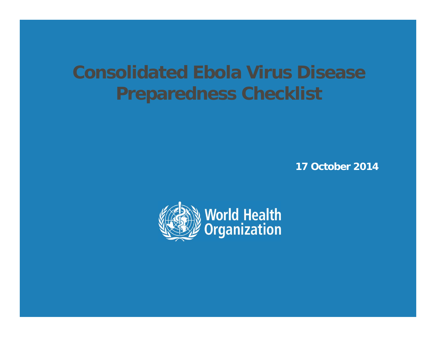# **Consolidated Ebola Virus Disease Preparedness Checklist**

**17 October 2014**

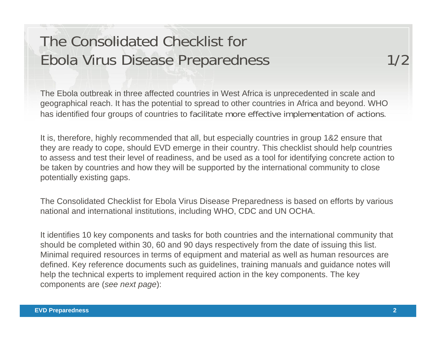## The Consolidated Checklist for Ebola Virus Disease Preparedness 1/2

The Ebola outbreak in three affected countries in West Africa is unprecedented in scale and geographical reach. It has the potential to spread to other countries in Africa and beyond. WHO has identified four groups of countries to facilitate more effective implementation of actions.

It is, therefore, highly recommended that all, but especially countries in group 1&2 ensure that they are ready to cope, should EVD emerge in their country. This checklist should help countries to assess and test their level of readiness, and be used as a tool for identifying concrete action to be taken by countries and how they will be supported by the international community to close potentially existing gaps.

The Consolidated Checklist for Ebola Virus Disease Preparedness is based on efforts by various national and international institutions, including WHO, CDC and UN OCHA.

It identifies 10 key components and tasks for both countries and the international community that should be completed within 30, 60 and 90 days respectively from the date of issuing this list. Minimal required resources in terms of equipment and material as well as human resources are defined. Key reference documents such as guidelines, training manuals and guidance notes will help the technical experts to implement required action in the key components. The key components are (*see next page*):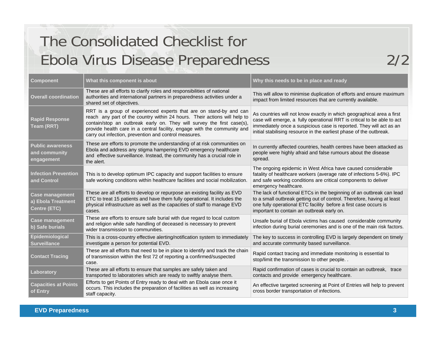# The Consolidated Checklist for Ebola Virus Disease Preparedness 2/2

| <b>Component</b>                                                    | What this component is about                                                                                                                                                                                                                                                                                                                                   | Why this needs to be in place and ready                                                                                                                                                                                                                                                        |
|---------------------------------------------------------------------|----------------------------------------------------------------------------------------------------------------------------------------------------------------------------------------------------------------------------------------------------------------------------------------------------------------------------------------------------------------|------------------------------------------------------------------------------------------------------------------------------------------------------------------------------------------------------------------------------------------------------------------------------------------------|
| <b>Overall coordination</b>                                         | These are all efforts to clarify roles and responsibilities of national<br>authorities and international partners in preparedness activities under a<br>shared set of objectives.                                                                                                                                                                              | This will allow to minimise duplication of efforts and ensure maximum<br>impact from limited resources that are currently available.                                                                                                                                                           |
| <b>Rapid Response</b><br>Team (RRT)                                 | RRT is a group of experienced experts that are on stand-by and can<br>reach any part of the country within 24 hours. Their actions will help to<br>contain/stop an outbreak early on. They will survey the first case(s).<br>provide health care in a central facility, engage with the community and<br>carry out infection, prevention and control measures. | As countries will not know exactly in which geographical area a first<br>case will emerge, a fully operational RRT is critical to be able to act<br>immediately once a suspicious case is reported. They will act as an<br>initial stabilising resource in the earliest phase of the outbreak. |
| <b>Public awareness</b><br>and community<br>engagement              | These are efforts to promote the understanding of at risk communities on<br>Ebola and address any stigma hampering EVD emergency healthcare<br>and effective surveillance. Instead, the community has a crucial role in<br>the alert.                                                                                                                          | In currently affected countries, health centres have been attacked as<br>people were highly afraid and false rumours about the disease<br>spread.                                                                                                                                              |
| <b>Infection Prevention</b><br>and Control                          | This is to develop optimum IPC capacity and support facilities to ensure<br>safe working conditions within healthcare facilities and social mobilization.                                                                                                                                                                                                      | The ongoing epidemic in West Africa have caused considerable<br>fatality of healthcare workers (average rate of infections 5-6%). IPC<br>and safe working conditions are critical components to deliver<br>emergency healthcare.                                                               |
| <b>Case management</b><br>a) Ebola Treatment<br><b>Centre (ETC)</b> | These are all efforts to develop or repurpose an existing facility as EVD<br>ETC to treat 15 patients and have them fully operational. It includes the<br>physical infrastructure as well as the capacities of staff to manage EVD<br>cases.                                                                                                                   | The lack of functional ETCs in the beginning of an outbreak can lead<br>to a small outbreak getting out of control. Therefore, having at least<br>one fully operational ETC facility before a first case occurs is<br>important to contain an outbreak early on.                               |
| <b>Case management</b><br>b) Safe burials                           | These are efforts to ensure safe burial with due regard to local custom<br>and religion while safe handling of deceased is necessary to prevent<br>wider transmission to communities.                                                                                                                                                                          | Unsafe burial of Ebola victims has caused considerable community<br>infection during burial ceremonies and is one of the main risk factors.                                                                                                                                                    |
| Epidemiological<br><b>Surveillance</b>                              | This is a cross-country effective alerting/notification system to immediately<br>investigate a person for potential EVD.                                                                                                                                                                                                                                       | The key to success in controlling EVD is largely dependent on timely<br>and accurate community based surveillance.                                                                                                                                                                             |
| <b>Contact Tracing</b>                                              | These are all efforts that need to be in place to identify and track the chain<br>of transmission within the first 72 of reporting a confirmed/suspected<br>case.                                                                                                                                                                                              | Rapid contact tracing and immediate monitoring is essential to<br>stop/limit the transmission to other people                                                                                                                                                                                  |
| Laboratory                                                          | These are all efforts to ensure that samples are safely taken and<br>transported to laboratories which are ready to swiftly analyse them.                                                                                                                                                                                                                      | Rapid confirmation of cases is crucial to contain an outbreak, trace<br>contacts and provide emergency healthcare.                                                                                                                                                                             |
| <b>Capacities at Points</b><br>of Entry                             | Efforts to get Points of Entry ready to deal with an Ebola case once it<br>occurs. This includes the preparation of facilities as well as increasing<br>staff capacity.                                                                                                                                                                                        | An effective targeted screening at Point of Entries will help to prevent<br>cross border transportation of infections.                                                                                                                                                                         |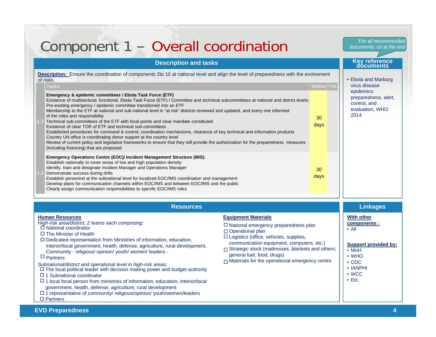| Component 1 - Overall coordination                                                                                                                                                                                                                                                                                                                                                                                                                                                                                                                                                                                                                                                                                                                                                                                                                                                                                                                                                                                                                                                                                                                                                                                                                                                                                                                                                                                                                                                                                                                                                                                                                                                                             |                                                                                                                                                                                                                                                                                                                                             |                                         | documents; url at the end                                                                                                                                                               |
|----------------------------------------------------------------------------------------------------------------------------------------------------------------------------------------------------------------------------------------------------------------------------------------------------------------------------------------------------------------------------------------------------------------------------------------------------------------------------------------------------------------------------------------------------------------------------------------------------------------------------------------------------------------------------------------------------------------------------------------------------------------------------------------------------------------------------------------------------------------------------------------------------------------------------------------------------------------------------------------------------------------------------------------------------------------------------------------------------------------------------------------------------------------------------------------------------------------------------------------------------------------------------------------------------------------------------------------------------------------------------------------------------------------------------------------------------------------------------------------------------------------------------------------------------------------------------------------------------------------------------------------------------------------------------------------------------------------|---------------------------------------------------------------------------------------------------------------------------------------------------------------------------------------------------------------------------------------------------------------------------------------------------------------------------------------------|-----------------------------------------|-----------------------------------------------------------------------------------------------------------------------------------------------------------------------------------------|
| <b>Description and tasks</b>                                                                                                                                                                                                                                                                                                                                                                                                                                                                                                                                                                                                                                                                                                                                                                                                                                                                                                                                                                                                                                                                                                                                                                                                                                                                                                                                                                                                                                                                                                                                                                                                                                                                                   |                                                                                                                                                                                                                                                                                                                                             |                                         | Key reference<br>documents                                                                                                                                                              |
| <b>Description:</b> Ensure the coordination of components 2to 10 at national level and align the level of preparedness with the evolvement<br>of risks.<br>Tasks<br>Emergency & epidemic committees / Ebola Task Force (ETF)<br>Existence of multisectoral, functional, Ebola Task Force (ETF) / Committee and technical subcommittees at national and district levels;<br>Pre-existing emergency / epidemic committee transitioned into an ETF<br>Membership to the ETF at national and sub-national level in "at risk" districts reviewed and updated, and every one informed<br>of the roles and responsibility<br>Technical sub-committees of the ETF with focal points and clear mandate constituted<br>Existence of clear TOR of ETF and technical sub-committees<br>Established procedures for command & control, coordination mechanisms, clearance of key technical and information products<br>Country UN office is coordinating donor support at the country level<br>Review of current policy and legislative frameworks to ensure that they will provide the authorization for the preparedness measures<br>(including financing) that are proposed<br>Emergency Operations Centre (EOC)/ Incident Management Structure (IMS):<br>Establish nationally to cover areas of low and high population density<br>Identify, train and designate Incident Manager and Operations Manager<br>Demonstrate success during drills<br>Establish personnel at the subnational level for localized EOC/IMS coordination and management<br>Develop plans for communication channels within EOC/IMS and between EOC/IMS and the public<br>Clearly assign communication responsibilities to specific EOC/IMS roles |                                                                                                                                                                                                                                                                                                                                             | Within Y/N.<br>30<br>days<br>30<br>days | • Ebola and Marburg<br>virus disease<br>epidemics:<br>preparedness, alert,<br>control, and<br>evaluation, WHO<br>2014                                                                   |
| <b>Resources</b>                                                                                                                                                                                                                                                                                                                                                                                                                                                                                                                                                                                                                                                                                                                                                                                                                                                                                                                                                                                                                                                                                                                                                                                                                                                                                                                                                                                                                                                                                                                                                                                                                                                                                               |                                                                                                                                                                                                                                                                                                                                             |                                         | <b>Linkages</b>                                                                                                                                                                         |
| <b>Human Resources</b><br>High-risk area/district, 2 teams each comprising:<br>$\Box$ National coordinator<br>$\Box$ The Minister of Health<br>$\Box$ Dedicated representation from Ministries of information, education,<br>interior/local government, health, defense, agriculture, rural development,<br>Community - religious/ opinion/ youth/ women/ leaders -<br>$\Box$ Partners<br>Subnational/district and operational level in high-risk areas:<br>$\Box$ The local political leader with decision making power and budget authority<br>$\Box$ 1 Subnational coordinator<br>$\Box$ 1 local focal person from ministries of information, education, interior/local<br>government, health, defense, agriculture, rural development<br>□ 1 representative of community/ religious/opinion/ youth/women/leaders<br>$\Box$ Partners                                                                                                                                                                                                                                                                                                                                                                                                                                                                                                                                                                                                                                                                                                                                                                                                                                                                        | <b>Equipment Materials</b><br>$\Box$ National emergency preparedness plan<br>□ Operational plan<br>$\Box$ Logistics (office, vehicles, supplies,<br>communication equipment, computers, etc.)<br>□ Strategic stock (mattresses, blankets and others;<br>general fuel, food, drugs)<br>$\Box$ Materials for the operational emergency centre |                                         | <b>With other</b><br>components :<br>$\bullet$ All<br><b>Support provided by:</b><br>$\bullet$ MoH<br>$\bullet$ WHO<br>$\cdot$ CDC<br>$\cdot$ IANPHI<br>$\bullet$ WCC<br>$\bullet$ Etc. |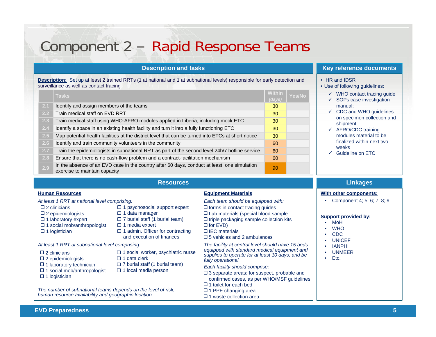## Component 2 – Rapid Response Teams

**Description:** Set up at least 2 trained RRTs (1 at national and 1 at subnational levels) responsible for early detection and surveillance as well as contact tracing

|     | <b>Tasks</b>                                                                                                                 | Within<br>(days) | Yes/No |
|-----|------------------------------------------------------------------------------------------------------------------------------|------------------|--------|
| 2.1 | Identify and assign members of the teams                                                                                     | 30               |        |
| 2.2 | Train medical staff on EVD RRT                                                                                               | 30               |        |
| 2.3 | Train medical staff using WHO-AFRO modules applied in Liberia, including mock ETC                                            | 30               |        |
| 2.4 | Identify a space in an existing health facility and turn it into a fully functioning ETC                                     | 30               |        |
| 2.5 | Map potential health facilities at the district level that can be turned into ETCs at short notice                           | 30               |        |
| 2.6 | Identify and train community volunteers in the community                                                                     | 60               |        |
| 2.7 | Train the epidemiologists in subnational RRT as part of the second level 24h/7 hotline service                               | 60               |        |
| 2.8 | Ensure that there is no cash-flow problem and a contract-facilitation mechanism                                              | 60               |        |
| 2.9 | In the absence of an EVD case in the country after 60 days, conduct at least one simulation<br>exercise to maintain capacity | 90               |        |

### **Description and tasks Key reference documents**

#### • IHR and IDSR

- Use of following guidelines:
	- $\checkmark$  WHO contact tracing guide
	- $\checkmark$  SOPs case investigation manual;
	- $\checkmark$  CDC and WHO guidelines on specimen collection and shipment;
	- $\checkmark$  AFRO/CDC training modules material to be finalized within next two weeks
	- $\checkmark$  Guideline on ETC

### **Resources**

#### **Human Resources Equipment Materials**

- *At least 1 RRT at national level comprising: Each team should be equipped with:*
- $\square$  2 clinicians
- $\square$  2 epidemiologists
- $\Box$  1 laboratory expert
- $\Box$  1 social mob/anthropologist
- $\square$  1 logistician

 $\Box$  1 media expert □ 1 admin. Officer for contracting

 $\Box$  1 data clerk

 $\Box$  1 data manager

and execution of finances

 $\Box$  1 social worker, psychiatric nurse

 $\Box$  7 burial staff (1 burial team)

 $\Box$  1 psychosocial support expert

 $\Box$  7 burial staff (1 burial team)

#### *At least 1 RRT at subnational level comprising: The facility at central level should have 15 beds*

- $\Box$  2 clinicians
- $\square$  2 epidemiologists
- $\Box$  1 laboratory technician
- $\Box$  1 social mob/anthropologist  $\Box$  1 logistician
- $\Box$  1 local media person

#### *The number of subnational teams depends on the level of risk, human resource availability and geographic location.*

 $\Box$  forms in contact tracing guides  $\Box$  Lab materials (special blood sample  $\Box$  triple packaging sample collection kits  $\Box$  for EVD) □ IEC materials  $\square$  5 vehicles and 2 ambulances

*equipped with standard medical equipment and supplies to operate for at least 10 days, and be fully operational.*

- *Each facility should comprise:*
- □ 3 separate areas: for suspect, probable and confirmed cases, as per WHO/MSF guidelines
- $\Box$  1 toilet for each bed
- $\Box$  1 PPE changing area  $\square$  1 waste collection area

## **With other components:**

**Linkages**

• Component 4; 5; 6; 7; 8; 9

- •MoH
- **WHO**
- •CDC
- •UNICEF
- IANPHI
- •UNMEER
- Etc.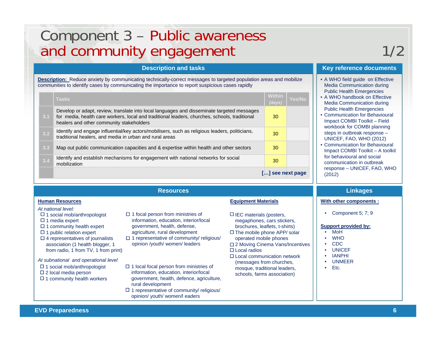## Component 3 – Public awareness and community engagement and community engagement

**Description:** Reduce anxiety by communicating technically-correct messages to targeted population areas and mobilize communities to identify cases by communicating the importance to report suspicious cases rapidly

|     | <b>Tasks</b>                                                                                                                                                                                                                            | <b>Within</b><br>(days) | <b>Yes/No</b> |
|-----|-----------------------------------------------------------------------------------------------------------------------------------------------------------------------------------------------------------------------------------------|-------------------------|---------------|
| 3.1 | Develop or adapt, review, translate into local languages and disseminate targeted messages<br>for media, health care workers, local and traditional leaders, churches, schools, traditional<br>healers and other community stakeholders | 30                      |               |
| 3.2 | Identify and engage influential/key actors/mobilisers, such as religious leaders, politicians,<br>traditional healers, and media in urban and rural areas                                                                               | 30                      |               |
| 3.3 | Map out public communication capacities and & expertise within health and other sectors                                                                                                                                                 | 30                      |               |
| 3.4 | Identify and establish mechanisms for engagement with national networks for social<br>mobilization                                                                                                                                      | 30                      |               |
|     |                                                                                                                                                                                                                                         | [] see next page        |               |

#### **Resources**

#### *At national level:*

- $\Box$  1 social mob/anthropologist
- $\Box$  1 media expert
- $\Box$  1 community health expert
- $\Box$  1 public relation expert
- $\square$  4 representatives of journalists association (1 health blogger, 1 from radio, 1 from TV, 1 from print)
- *At subnational and operational level*
- $\Box$  1 social mob/anthropologist
- $\square$  2 local media person
- $\Box$  1 community health workers
- $\Box$  1 focal person from ministries of information, education, interior/local government, health, defense, agriculture, rural development
- $\Box$  1 representative of community/ religious/ opinion /youth/ women/ leaders
- $\Box$  1 local focal person from ministries of information, education, interior/local government, health, defence, agriculture, rural development
- $\Box$  1 representative of community/ religious/ opinion/ youth/ women/l eaders

#### **Human Resources Equipment Materials**

- $\Box$  IEC materials (posters, megaphones, cars stickers, brochures, leaflets, t-shirts)
- $\square$  The mobile phone APP/ solar operated mobile phones □ 2 Moving Cinema Vans/Incentives
- Local radios
- □ Local communication network (messages from churches, mosque, traditional leaders, schools, farms association)

### **Description and tasks Key reference documents**

- A WHO field guide on Effective Media Communication during Public Health Emergencies
- A WHO handbook on Effective Media Communication during Public Health Emergencies
- Communication for BehaviouralImpact COMBI Toolkit – Field workbook for COMBI planning steps in outbreak response – UNICEF, FAO, WHO (2012)
- Communication for BehaviouralImpact COMBI Toolkit – A toolkit for behavioural and social communication in outbreak response – UNICEF, FAO, WHO (2012)

### **Linkages**

#### **With other components :**

• Component 5; 7; 9

- •MoH
- **WHO**
- CDC
- UNICEF
- IANPHI
- UNMEER
- Etc.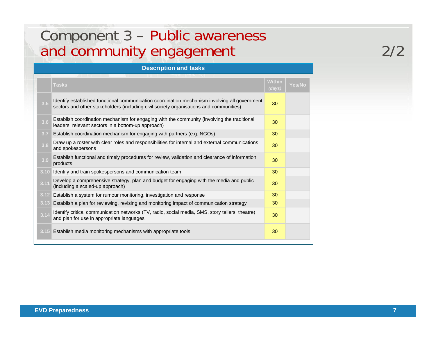## Component 3 – Public awareness and community engagement and community engagement

|      | <b>Description and tasks</b>                                                                                                                                                            |                         |               |  |  |
|------|-----------------------------------------------------------------------------------------------------------------------------------------------------------------------------------------|-------------------------|---------------|--|--|
|      | Tasks                                                                                                                                                                                   | <b>Within</b><br>(days) | <b>Yes/No</b> |  |  |
| 3.5  | Identify established functional communication coordination mechanism involving all government<br>sectors and other stakeholders (including civil society organisations and communities) | 30                      |               |  |  |
| 3.6  | Establish coordination mechanism for engaging with the community (involving the traditional<br>leaders, relevant sectors in a bottom-up approach)                                       | 30                      |               |  |  |
| 3.7  | Establish coordination mechanism for engaging with partners (e.g. NGOs)                                                                                                                 | 30                      |               |  |  |
| 3.8  | Draw up a roster with clear roles and responsibilities for internal and external communications<br>and spokespersons                                                                    | 30                      |               |  |  |
| 3.9  | Establish functional and timely procedures for review, validation and clearance of information<br>products                                                                              | 30                      |               |  |  |
| 3.10 | Identify and train spokespersons and communication team                                                                                                                                 | 30                      |               |  |  |
| 3.11 | Develop a comprehensive strategy, plan and budget for engaging with the media and public<br>(including a scaled-up approach)                                                            | 30                      |               |  |  |
| 3.12 | Establish a system for rumour monitoring, investigation and response                                                                                                                    | 30                      |               |  |  |
| 3.13 | Establish a plan for reviewing, revising and monitoring impact of communication strategy                                                                                                | 30                      |               |  |  |
| 3.14 | Identify critical communication networks (TV, radio, social media, SMS, story tellers, theatre)<br>and plan for use in appropriate languages                                            | 30                      |               |  |  |
|      | 3.15 Establish media monitoring mechanisms with appropriate tools                                                                                                                       | 30                      |               |  |  |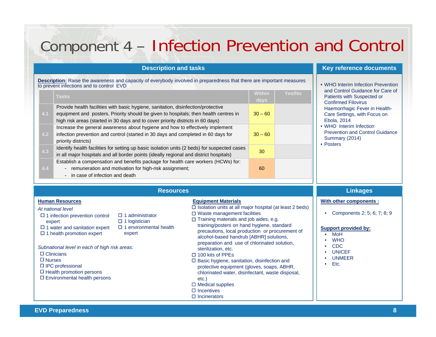# Component 4 – Infection Prevention and Control

|     | <b>Description and tasks</b>                                                                                                                                                                                                                                 |                       |               | Key reference documents                                                                          |
|-----|--------------------------------------------------------------------------------------------------------------------------------------------------------------------------------------------------------------------------------------------------------------|-----------------------|---------------|--------------------------------------------------------------------------------------------------|
|     | <b>Description:</b> Raise the awareness and capacity of everybody involved in preparedness that there are important measures<br>to prevent infections and to control EVD                                                                                     |                       |               | • WHO Interim Infection Prevention<br>and Control Guidance for Care of                           |
|     | <b>Tasks</b>                                                                                                                                                                                                                                                 | <b>Within</b><br>days | <b>Yes/No</b> | Patients with Suspected or<br><b>Confirmed Filovirus</b>                                         |
| 4.1 | Provide health facilities with basic hygiene, sanitation, disinfection/protective<br>equipment and posters. Priority should be given to hospitals; then health centres in<br>high risk areas (started in 30 days and to cover priority districts in 60 days) | $30 - 60$             |               | Haemorrhagic Fever in Health-<br>Care Settings, with Focus on<br>Ebola, 2014                     |
| 4.2 | Increase the general awareness about hygiene and how to effectively implement<br>infection prevention and control (started in 30 days and completed in 60 days for<br>priority districts)                                                                    | $30 - 60$             |               | • WHO Interim Infection<br><b>Prevention and Control Guidance</b><br>Summary (2014)<br>• Posters |
| 4.3 | Identify health facilities for setting up basic isolation units (2 beds) for suspected cases<br>in all major hospitals and all border points (ideally regional and district hospitals)                                                                       | 30                    |               |                                                                                                  |
| 4.4 | Establish a compensation and benefits package for health care workers (HCWs) for:<br>remuneration and motivation for high-risk assignment;<br>$\overline{\phantom{m}}$<br>in case of infection and death<br>$\overline{\phantom{a}}$                         | 60                    |               |                                                                                                  |

#### **Pence documents**

- ol Guidance for Care of ith Suspected or Filovirus agic Fever in Healthngs, with Focus on Ebola, 2014
- rim Infection and Control Guidance  $(2014)$

#### **Human Resources Equipment Materials**  *At national levelSubnational level in each of high risk areas:* **With other components :** • Components 2; 5; 6; 7; 8; 9 **Support provided by:** MoH • WHO• CDC • UNICEF• UNMEER• Etc.**Resources Linkages**  $\Box$  1 infection prevention control expert  $\Box$  1 water and sanitation expert  $\Box$  1 health promotion expert  $\Box$  1 administrator  $\Box$  1 logistician 1 environmental health expert  $\Box$  Clinicians □ Nurses  $\Box$  IPC professional  $\Box$  Health promotion persons Environmental health persons  $\square$  Isolation units at all major hospital (at least 2 beds) □ Waste management facilities  $\Box$  Training materials and job aides, e.g. training/posters on hand hygiene, standard precautions, local production or procurement of alcohol-based handrub [ABHR] solutions, preparation and use of chlorinated solution, sterilization, etc.  $\Box$  100 kits of PPEs  $\Box$  Basic hygiene, sanitation, disinfection and protective equipment (gloves, soaps, ABHR, chlorinated water, disinfectant, waste disposal, etc.)  $\Box$  Medical supplies  $\square$  Incentives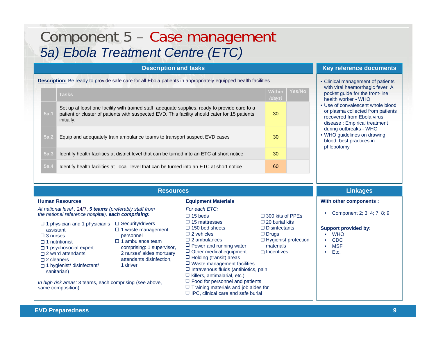## Component 5 – Case management *5a) Ebola Treatment Centre (ETC)*

### **Description and tasks Key reference documents**

**Description:** Be ready to provide safe care for all Ebola patients in appropriately equipped health facilities **• Clinical management of patients** 

|      | <b>Tasks</b>                                                                                                                                                                                                  | <b>Within</b><br>(days) | <b>Yes/No</b> |
|------|---------------------------------------------------------------------------------------------------------------------------------------------------------------------------------------------------------------|-------------------------|---------------|
| 5a.1 | Set up at least one facility with trained staff, adequate supplies, ready to provide care to a<br>patient or cluster of patients with suspected EVD. This facility should cater for 15 patients<br>initially. | 30                      |               |
| 5a.2 | Equip and adequately train ambulance teams to transport suspect EVD cases                                                                                                                                     | 30                      |               |
| 5a.3 | Identify health facilities at district level that can be turned into an ETC at short notice                                                                                                                   | 30                      |               |
| 5a.4 | Identify health facilities at local level that can be turned into an ETC at short notice                                                                                                                      | 60                      |               |

- with viral haemorrhagic fever: A pocket guide for the front-line health worker - WHO
- Use of convalescent whole blood or plasma collected from patients recovered from Ebola virus disease : Empirical treatment during outbreaks - WHO
- WHO guidelines on drawing blood: best practices in phlebotomy

#### **Resources**

#### **Human Resources Equipment Materials**

 $\Box$  IPC, clinical care and safe burial

- *At national level ,* 24/7, *5 teams (preferably staff from For each ETC: the national reference hospital), each comprising: In high risk areas:* 3 teams, each comprising (see above, same composition)  $\Box$  1 physician and 1 physician's assistant□ 3 nurses  $\Box$  1 nutritionist  $\Box$  1 psychosocial expert  $\Box$  2 ward attendants  $\Box$  2 cleaners 1 hygienist/ disinfectant/ sanitarian)  $\square$  Security/drivers  $\square$  1 waste management personnel  $\square$  1 ambulance team comprising: 1 supervisor, 2 nurses' aides mortuary attendants disinfection, 1 driver $\Box$  15 beds  $\square$  15 mattresses  $\square$  150 bed sheets  $\square$  2 vehicles □ 2 ambulances  $\Box$  Power and running water  $\Box$  Other medical equipment  $\Box$  Holding (transit) areas  $\Box$  Waste management facilities  $\Box$  Intravenous fluids (antibiotics, pain  $\Box$  killers, antimalarial, etc.)  $\Box$  Food for personnel and patients  $\Box$  Training materials and job aides for □ 300 kits of PPEs  $\square$  Drugs materials $\Box$  Incentives
	- $\square$  20 burial kits □ Disinfectants □ Hygienist protection

### **Linkages**

**With other components :**

• Component 2; 3; 4; 7; 8; 9

- **WHO**
- •CDC
- MSF
- •Etc.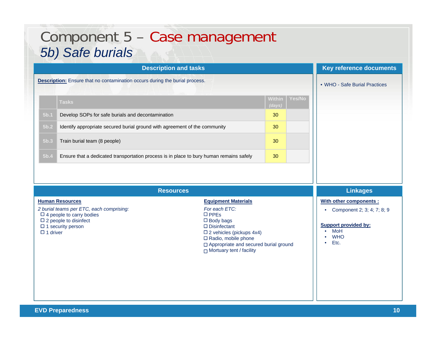| Component 5 - Case management<br>5b) Safe burials                                                                                                                                                                                                                                                                                     |                            |                  |        |                               |
|---------------------------------------------------------------------------------------------------------------------------------------------------------------------------------------------------------------------------------------------------------------------------------------------------------------------------------------|----------------------------|------------------|--------|-------------------------------|
| <b>Description and tasks</b>                                                                                                                                                                                                                                                                                                          |                            |                  |        | Key reference documents       |
| <b>Description:</b> Ensure that no contamination occurs during the burial process.                                                                                                                                                                                                                                                    |                            |                  |        | • WHO - Safe Burial Practices |
| <b>Tasks</b>                                                                                                                                                                                                                                                                                                                          |                            | Within<br>(days) | Yes/No |                               |
| 5 <sub>b.1</sub><br>Develop SOPs for safe burials and decontamination                                                                                                                                                                                                                                                                 |                            | 30               |        |                               |
| 5b.2<br>Identify appropriate secured burial ground with agreement of the community                                                                                                                                                                                                                                                    |                            | 30               |        |                               |
| 5 <sub>b.3</sub><br>Train burial team (8 people)                                                                                                                                                                                                                                                                                      |                            | 30               |        |                               |
| 5b.4<br>Ensure that a dedicated transportation process is in place to bury human remains safely                                                                                                                                                                                                                                       |                            | 30               |        |                               |
|                                                                                                                                                                                                                                                                                                                                       |                            |                  |        |                               |
| <b>Resources</b>                                                                                                                                                                                                                                                                                                                      |                            |                  |        | <b>Linkages</b>               |
| <b>Human Resources</b><br>$\mathbf{r}$ , $\mathbf{r}$ , $\mathbf{r}$ , $\mathbf{r}$ , $\mathbf{r}$ , $\mathbf{r}$ , $\mathbf{r}$ , $\mathbf{r}$ , $\mathbf{r}$ , $\mathbf{r}$ , $\mathbf{r}$ , $\mathbf{r}$ , $\mathbf{r}$ , $\mathbf{r}$ , $\mathbf{r}$ , $\mathbf{r}$ , $\mathbf{r}$ , $\mathbf{r}$ , $\mathbf{r}$ , $\mathbf{r}$ , | <b>Equipment Materials</b> |                  |        | With other components :       |

- *2 burial teams per ETC, each comprising: For each ETC:* 4 people to carry bodies  $\square$  2 people to disinfect
- $\Box$  1 security person
- 1 driver

D<sub>PPEs</sub> Body bags Disinfectant 2 vehicles (pickups 4x4)

- $\Box$  Radio, mobile phone
- □ Appropriate and secured burial ground
- **D** Mortuary tent / facility

• Component 2; 3; 4; 7; 8; 9

- MoH
- WHO
- Etc.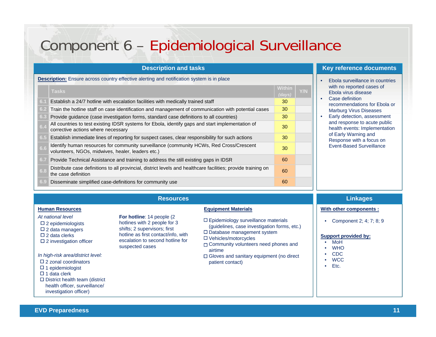## Component 6 – Epidemiological Surveillance

|     | <b>Description and tasks</b>                                                                                                                 |                  |     |           | Key refer                  |
|-----|----------------------------------------------------------------------------------------------------------------------------------------------|------------------|-----|-----------|----------------------------|
|     | <b>Description:</b> Ensure across country effective alerting and notification system is in place                                             |                  |     | ×         | Ebola su                   |
|     | <b>Tasks</b>                                                                                                                                 | Within<br>(days) | Y/N |           | with no r<br>Ebola vi      |
| 6.1 | Establish a 24/7 hotline with escalation facilities with medically trained staff                                                             | 30               |     | ٠         | Case de<br>recomm          |
| 6.2 | Train the hotline staff on case identification and management of communication with potential cases                                          | 30               |     |           | Marburg                    |
| 6.3 | Provide guidance (case investigation forms, standard case definitions to all countries)                                                      | 30               |     | $\bullet$ | Early de                   |
| 6.4 | All countries to test existing IDSR systems for Ebola, identify gaps and start implementation of<br>corrective actions where necessary       | 30               |     |           | and resp<br>health e       |
| 6.5 | Establish immediate lines of reporting for suspect cases, clear responsibility for such actions                                              | 30               |     |           | of Early<br><b>Respons</b> |
| 6.6 | Identify human resources for community surveillance (community HCWs, Red Cross/Crescent<br>volunteers, NGOs, midwives, healer, leaders etc.) | 30               |     |           | Event-Ba                   |
| 6.7 | Provide Technical Assistance and training to address the still existing gaps in IDSR                                                         | 60               |     |           |                            |
| 6.8 | Distribute case definitions to all provincial, district levels and healthcare facilities; provide training on<br>the case definition         | 60               |     |           |                            |
| 6.9 | Disseminate simplified case-definitions for community use                                                                                    | 60               |     |           |                            |

#### **rence** documents

- Irveillance in countries reported cases of rus disease
- **Exercise** endations for Ebola or **Virus Diseases**
- etection, assessment bonse to acute public vents: Implementation Warning and se with a focus on ased Surveillance

#### **Human Resources Equipment Materials**

- *At national level*
- $\square$  2 epidemiologists
- $\square$  2 data managers
- $\Box$  2 data clerks
- $\square$  2 investigation officer
- *In high-risk area/district level:*
- $\square$  2 zonal coordinators
- $\Box$  1 epidemiologist
- $\Box$  1 data clerk
- $\square$  District health team (district health officer, surveillance/ investigation officer)

**Resources**

**For hotline**: 14 people (2 hotlines with 2 people for 3 shifts; 2 supervisors; first hotline as first contact/info, with escalation to second hotline for

suspected cases

- $\square$  Epidemiology surveillance materials (guidelines, case investigation forms, etc.)
- Database management system
- Vehicles/motorcycles
- Community volunteers need phones and airtime
- □ Gloves and sanitary equipment (no direct patient contact)

### **Linkages**

#### **With other components :**

• Component 2; 4; 7; 8; 9

- MoH
- •**WHO**
- •CDC
- •WCC
- •Etc.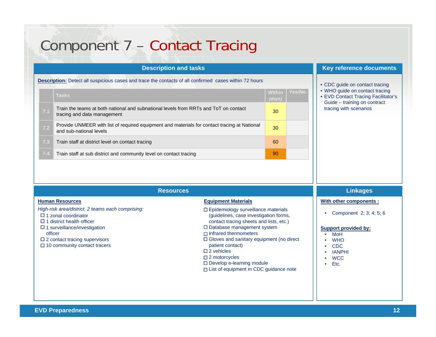|     | <b>Description and tasks</b>                                                                                            |                         |        | Key reference documents                                                                               |
|-----|-------------------------------------------------------------------------------------------------------------------------|-------------------------|--------|-------------------------------------------------------------------------------------------------------|
|     | <b>Description:</b> Detect all suspicious cases and trace the contacts of all confirmed cases within 72 hours           |                         |        | • CDC guide on contact tracing                                                                        |
|     | <b>Tasks</b>                                                                                                            | <b>Within</b><br>(days) | Yes/No | • WHO guide on contact tracing<br>• EVD Contact Tracing Facilitator's<br>Guide - training on contract |
| 7.1 | Train the teams at both national and subnational levels from RRTs and ToT on contact<br>tracing and data management     | 30                      |        | tracing with scenarios                                                                                |
| 7.2 | Provide UNMEER with list of required equipment and materials for contact tracing at National<br>and sub-national levels | 30                      |        |                                                                                                       |
| 7.3 | Train staff at district level on contact tracing                                                                        | 60                      |        |                                                                                                       |
| 7.4 | Train staff at sub district and community level on contact tracing                                                      | 90                      |        |                                                                                                       |

|                                                                                                                                                                                      | Linkages                                                                                                                                                                                                                            |                                                                                                |  |
|--------------------------------------------------------------------------------------------------------------------------------------------------------------------------------------|-------------------------------------------------------------------------------------------------------------------------------------------------------------------------------------------------------------------------------------|------------------------------------------------------------------------------------------------|--|
| <b>Human Resources</b><br>High-risk area/district, 2 teams each comprising:<br>$\Box$ 1 zonal coordinator<br>$\Box$ 1 district health officer<br>$\Box$ 1 surveillance/investigation | <b>Equipment Materials</b><br>$\Box$ Epidemiology surveillance materials<br>(guidelines, case investigation forms,<br>contact tracing sheets and lists, etc.)<br>$\Box$ Database management system                                  | With other components :<br>Component 2; 3; 4; 5; 6                                             |  |
| officer<br>$\Box$ 2 contact tracing supervisors<br>$\Box$ 10 community contact tracers                                                                                               | $\Box$ Infrared thermometers<br>$\Box$ Gloves and sanitary equipment (no direct<br>patient contact)<br>$\square$ 2 vehicles<br>$\Box$ 2 motorcycles<br>□ Develop e-learning module<br>$\Box$ List of equipment in CDC guidance note | Support provided by:<br>MoH<br><b>WHO</b><br><b>CDC</b><br><b>IANPHI</b><br><b>WCC</b><br>Etc. |  |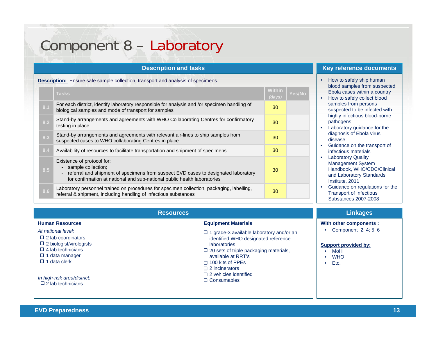## Component 8 – Laboratory

|     | <b>Description and tasks</b>                                                                                                                                                                                         |                  |               |  |  |  |  |
|-----|----------------------------------------------------------------------------------------------------------------------------------------------------------------------------------------------------------------------|------------------|---------------|--|--|--|--|
|     | <b>Description:</b> Ensure safe sample collection, transport and analysis of specimens.                                                                                                                              |                  |               |  |  |  |  |
|     | <b>Tasks</b>                                                                                                                                                                                                         | Within<br>(days) | <b>Yes/No</b> |  |  |  |  |
| 8.1 | For each district, identify laboratory responsible for analysis and /or specimen handling of<br>biological samples and mode of transport for samples                                                                 | 30               |               |  |  |  |  |
| 8.2 | Stand-by arrangements and agreements with WHO Collaborating Centres for confirmatory<br>testing in place                                                                                                             | 30               |               |  |  |  |  |
| 8.3 | Stand-by arrangements and agreements with relevant air-lines to ship samples from<br>suspected cases to WHO collaborating Centres in place                                                                           | 30               |               |  |  |  |  |
| 8.4 | Availability of resources to facilitate transportation and shipment of specimens                                                                                                                                     | 30               |               |  |  |  |  |
| 8.5 | Existence of protocol for:<br>- sample collection;<br>referral and shipment of specimens from suspect EVD cases to designated laboratory<br>for confirmation at national and sub-national public health laboratories | 30               |               |  |  |  |  |
| 8.6 | Laboratory personnel trained on procedures for specimen collection, packaging, labelling,<br>referral & shipment, including handling of infectious substances                                                        | 30               |               |  |  |  |  |

### **Key reference documents**

- How to safely ship human blood samples from suspected Ebola cases within a country
- How to safely collect blood samples from persons suspected to be infected with highly infectious blood-borne pathogens
- Laboratory guidance for the diagnosis of Ebola virus disease
- Guidance on the transport of infectious materials
- Laboratory Quality Management System Handbook, WHO/CDC/Clinical and Laboratory Standards Institute, 2011
- Guidance on regulations for the Transport of Infectious Substances 2007-2008

|                                                                                                                                                                                                                          | <b>Linkages</b>                                                                                                                                                                                                                                                                         |                                                                                                                  |
|--------------------------------------------------------------------------------------------------------------------------------------------------------------------------------------------------------------------------|-----------------------------------------------------------------------------------------------------------------------------------------------------------------------------------------------------------------------------------------------------------------------------------------|------------------------------------------------------------------------------------------------------------------|
| <b>Human Resources</b>                                                                                                                                                                                                   | <b>Equipment Materials</b>                                                                                                                                                                                                                                                              | With other components :                                                                                          |
| At national level:<br>$\Box$ 2 lab coordinators<br>$\Box$ 2 biologist/virologists<br>$\Box$ 4 lab technicians<br>$\Box$ 1 data manager<br>$\Box$ 1 data clerk<br>In high-risk area/district:<br>$\Box$ 2 lab technicians | $\Box$ 1 grade-3 available laboratory and/or an<br>identified WHO designated reference<br>laboratories<br>$\Box$ 20 sets of triple packaging materials,<br>available at RRT's<br>$\Box$ 100 kits of PPEs<br>$\Box$ 2 incinerators<br>$\Box$ 2 vehicles identified<br>$\Box$ Consumables | Component 2; 4; 5; 6<br>Support provided by:<br>MoH<br>$\bullet$<br><b>WHO</b><br>$\bullet$<br>Etc.<br>$\bullet$ |
|                                                                                                                                                                                                                          |                                                                                                                                                                                                                                                                                         |                                                                                                                  |

### **EVD Preparedness 13**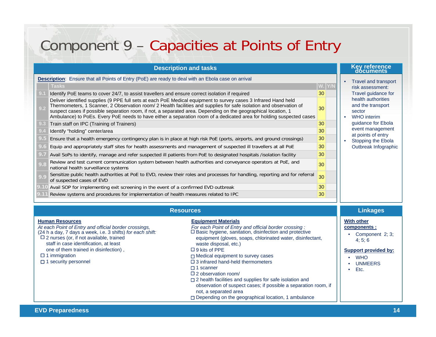# Component 9 – Capacities at Points of Entry

| <b>Description and tasks</b>                                                                              |                                                                                                                                                                                                                                                                                                                                                          |     |  | Key reference<br>documents                        |
|-----------------------------------------------------------------------------------------------------------|----------------------------------------------------------------------------------------------------------------------------------------------------------------------------------------------------------------------------------------------------------------------------------------------------------------------------------------------------------|-----|--|---------------------------------------------------|
| <b>Description:</b> Ensure that all Points of Entry (PoE) are ready to deal with an Ebola case on arrival |                                                                                                                                                                                                                                                                                                                                                          |     |  | Travel and transport                              |
|                                                                                                           | <b>Tasks</b>                                                                                                                                                                                                                                                                                                                                             | Y/N |  | risk assessment:                                  |
|                                                                                                           | Identify PoE teams to cover 24/7, to assist travellers and ensure correct isolation if required                                                                                                                                                                                                                                                          | 30  |  | Travel guidance for                               |
| 9.2                                                                                                       | Deliver identified supplies (9 PPE full sets at each PoE Medical equipment to survey cases 3 Infrared Hand held<br>Thermometers, 1 Scanner, 2 Observation room/ 2 Health facilities and supplies for safe isolation and observation of<br>suspect cases if possible separation room, if not, a separated area. Depending on the geographical location, 1 | 30  |  | health authorities<br>and the transport<br>sector |
|                                                                                                           | Ambulance) to PoEs. Every PoE needs to have either a separation room of a dedicated area for holding suspected cases                                                                                                                                                                                                                                     |     |  | WHO interim                                       |
| Train staff on IPC (Training of Trainers)<br>9.3                                                          |                                                                                                                                                                                                                                                                                                                                                          | 30  |  | guidance for Ebola                                |
|                                                                                                           | Identify "holding" center/area                                                                                                                                                                                                                                                                                                                           | 30  |  | event management<br>at points of entry            |
|                                                                                                           | Ensure that a health emergency contingency plan is in place at high risk PoE (ports, airports, and ground crossings)                                                                                                                                                                                                                                     | 30  |  | Stopping the Ebola                                |
|                                                                                                           | Equip and appropriately staff sites for health assessments and management of suspected ill travellers at all PoE                                                                                                                                                                                                                                         | 30  |  | Outbreak Infographic                              |
|                                                                                                           | Avail SoPs to identify, manage and refer suspected ill patients from PoE to designated hospitals /isolation facility                                                                                                                                                                                                                                     | 30  |  |                                                   |
| 9.8                                                                                                       | Review and test current communication system between health authorities and conveyance operators at PoE, and<br>national health surveillance systems                                                                                                                                                                                                     | 30  |  |                                                   |
|                                                                                                           | Sensitize public health authorities at PoE to EVD, review their roles and processes for handling, reporting and for referral<br>of suspected cases of EVD                                                                                                                                                                                                | 30  |  |                                                   |
|                                                                                                           | Avail SOP for implementing exit screening in the event of a confirmed EVD outbreak                                                                                                                                                                                                                                                                       | 30  |  |                                                   |
|                                                                                                           | Review systems and procedures for implementation of health measures related to IPC                                                                                                                                                                                                                                                                       | 30  |  |                                                   |

| <b>Resources</b>                                                                                                                                                                                                                                                                                                                      | <b>Linkages</b>                                                                                                                                                                                                                                                                                                                                                                                                                                                                                                                                                                                                                       |                                                                                                                                      |
|---------------------------------------------------------------------------------------------------------------------------------------------------------------------------------------------------------------------------------------------------------------------------------------------------------------------------------------|---------------------------------------------------------------------------------------------------------------------------------------------------------------------------------------------------------------------------------------------------------------------------------------------------------------------------------------------------------------------------------------------------------------------------------------------------------------------------------------------------------------------------------------------------------------------------------------------------------------------------------------|--------------------------------------------------------------------------------------------------------------------------------------|
| <b>Human Resources</b><br>At each Point of Entry and official border crossings,<br>(24 h a day, 7 days a week, i.e. 3 shifts) for each shift:<br>$\square$ 2 nurses (or, if not available, trained<br>staff in case identification, at least<br>one of them trained in disinfection),<br>$\Box$ 1 immigration<br>1 security personnel | <b>Equipment Materials</b><br>For each Point of Entry and official border crossing :<br>□ Basic hygiene, sanitation, disinfection and protective<br>equipment (gloves, soaps, chlorinated water, disinfectant,<br>waste disposal, etc.)<br>$\Box$ 9 kits of PPE<br>$\Box$ Medical equipment to survey cases<br>$\Box$ 3 infrared hand-held thermometers<br>$\Box$ 1 scanner<br>$\Box$ 2 observation room/<br>$\Box$ 2 health facilities and supplies for safe isolation and<br>observation of suspect cases; if possible a separation room, if<br>not, a separated area<br>$\Box$ Depending on the geographical location, 1 ambulance | <b>With other</b><br>components :<br>Component 2: 3:<br>4:5:6<br><b>Support provided by:</b><br><b>WHO</b><br><b>UNMEERS</b><br>Etc. |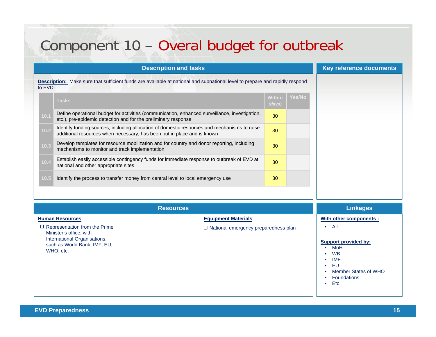## Component 10 – Overal budget for outbreak

| <b>Description and tasks</b>                                                                                                                 |                                                                                                                                                                         |                  |               | Key reference documents |
|----------------------------------------------------------------------------------------------------------------------------------------------|-------------------------------------------------------------------------------------------------------------------------------------------------------------------------|------------------|---------------|-------------------------|
| <b>Description:</b> Make sure that sufficient funds are available at national and subnational level to prepare and rapidly respond<br>to EVD |                                                                                                                                                                         |                  |               |                         |
|                                                                                                                                              | <b>Tasks</b>                                                                                                                                                            | Within<br>(days) | <b>Yes/No</b> |                         |
| 10.1                                                                                                                                         | Define operational budget for activities (communication, enhanced surveillance, investigation,<br>etc.), pre-epidemic detection and for the preliminary response        | 30               |               |                         |
| 10.2                                                                                                                                         | Identify funding sources, including allocation of domestic resources and mechanisms to raise<br>additional resources when necessary, has been put in place and is known | 30               |               |                         |
| 10.3                                                                                                                                         | Develop templates for resource mobilization and for country and donor reporting, including<br>mechanisms to monitor and track implementation                            | 30               |               |                         |
| 10.4                                                                                                                                         | Establish easily accessible contingency funds for immediate response to outbreak of EVD at<br>national and other appropriate sites                                      | 30               |               |                         |
| 10.5                                                                                                                                         | Identify the process to transfer money from central level to local emergency use                                                                                        | 30               |               |                         |
|                                                                                                                                              |                                                                                                                                                                         |                  |               |                         |

| <b>Resources</b>                                                                                                                                                       |                                                                           | <b>Linkages</b>                                                                                                                                                                        |
|------------------------------------------------------------------------------------------------------------------------------------------------------------------------|---------------------------------------------------------------------------|----------------------------------------------------------------------------------------------------------------------------------------------------------------------------------------|
| <b>Human Resources</b><br>$\Box$ Representation from the Prime<br>Minister's office, with<br>International Organisations,<br>such as World Bank, IMF, EU,<br>WHO, etc. | <b>Equipment Materials</b><br>$\Box$ National emergency preparedness plan | With other components :<br>All<br><b>Support provided by:</b><br>$\bullet$ MoH<br><b>WB</b><br><b>IMF</b><br>٠<br>EU<br>$\bullet$<br><b>Member States of WHO</b><br><b>Foundations</b> |
|                                                                                                                                                                        |                                                                           | Etc.<br>$\bullet$                                                                                                                                                                      |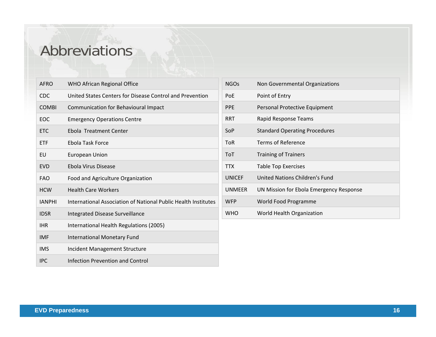## Abbreviations

| <b>AFRO</b>   | WHO African Regional Office                                           |
|---------------|-----------------------------------------------------------------------|
| <b>CDC</b>    | United States Centers for Disease Control and Prevention              |
| <b>COMBI</b>  | Communication for Behavioural Impact                                  |
| FOC.          | <b>Emergency Operations Centre</b>                                    |
| <b>ETC</b>    | Ebola Treatment Center                                                |
| <b>ETF</b>    | Ebola Task Force                                                      |
| EU            | <b>European Union</b>                                                 |
| <b>EVD</b>    | Ebola Virus Disease                                                   |
| <b>FAO</b>    | Food and Agriculture Organization                                     |
| <b>HCW</b>    | <b>Health Care Workers</b>                                            |
| <b>IANPHI</b> | <b>International Association of National Public Health Institutes</b> |
| <b>IDSR</b>   | <b>Integrated Disease Surveillance</b>                                |
| <b>IHR</b>    | International Health Regulations (2005)                               |
| <b>IMF</b>    | <b>International Monetary Fund</b>                                    |
| <b>IMS</b>    | <b>Incident Management Structure</b>                                  |
| <b>IPC</b>    | Infection Prevention and Control                                      |

| <b>NGOs</b>   | Non Governmental Organizations          |
|---------------|-----------------------------------------|
| PoE           | Point of Entry                          |
| <b>PPE</b>    | Personal Protective Equipment           |
| <b>RRT</b>    | Rapid Response Teams                    |
| SoP           | <b>Standard Operating Procedures</b>    |
| <b>ToR</b>    | Terms of Reference                      |
| ToT           | <b>Training of Trainers</b>             |
| <b>TTX</b>    | <b>Table Top Exercises</b>              |
| <b>UNICEF</b> | United Nations Children's Fund          |
| <b>UNMEER</b> | UN Mission for Ebola Emergency Response |
| <b>WFP</b>    | World Food Programme                    |
| <b>WHO</b>    | World Health Organization               |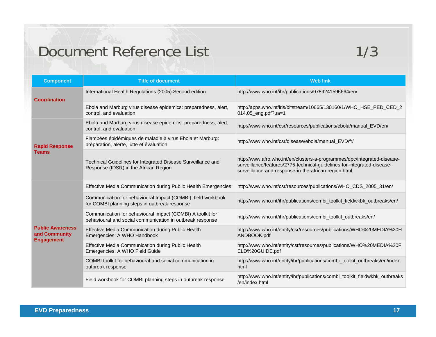## Document Reference List 1/3

| <b>Component</b>                                              | <b>Title of document</b>                                                                                                | <b>Web link</b>                                                                                                                                                                                             |
|---------------------------------------------------------------|-------------------------------------------------------------------------------------------------------------------------|-------------------------------------------------------------------------------------------------------------------------------------------------------------------------------------------------------------|
| <b>Coordination</b>                                           | International Health Regulations (2005) Second edition                                                                  | http://www.who.int/ihr/publications/9789241596664/en/                                                                                                                                                       |
|                                                               | Ebola and Marburg virus disease epidemics: preparedness, alert,<br>control, and evaluation                              | http://apps.who.int/iris/bitstream/10665/130160/1/WHO_HSE_PED_CED_2<br>$014.05$ eng.pdf?ua=1                                                                                                                |
|                                                               | Ebola and Marburg virus disease epidemics: preparedness, alert,<br>control, and evaluation                              | http://www.who.int/csr/resources/publications/ebola/manual_EVD/en/                                                                                                                                          |
| <b>Rapid Response</b>                                         | Flambées épidémiques de maladie à virus Ebola et Marburg:<br>préparation, alerte, lutte et évaluation                   | http://www.who.int/csr/disease/ebola/manual_EVD/fr/                                                                                                                                                         |
| <b>Teams</b>                                                  | Technical Guidelines for Integrated Disease Surveillance and<br>Response (IDSR) in the African Region                   | http://www.afro.who.int/en/clusters-a-programmes/dpc/integrated-disease-<br>surveillance/features/2775-technical-guidelines-for-integrated-disease-<br>surveillance-and-response-in-the-african-region.html |
|                                                               | Effective Media Communication during Public Health Emergencies                                                          | http://www.who.int/csr/resources/publications/WHO_CDS_2005_31/en/                                                                                                                                           |
|                                                               | Communication for behavioural Impact (COMBI): field workbook<br>for COMBI planning steps in outbreak response           | http://www.who.int/ihr/publications/combi_toolkit_fieldwkbk_outbreaks/en/                                                                                                                                   |
|                                                               | Communication for behavioural impact (COMBI) A toolkit for<br>behavioural and social communication in outbreak response | http://www.who.int/ihr/publications/combi_toolkit_outbreaks/en/                                                                                                                                             |
| <b>Public Awareness</b><br>and Community<br><b>Engagement</b> | Effective Media Communication during Public Health<br>Emergencies: A WHO Handbook                                       | http://www.who.int/entity/csr/resources/publications/WHO%20MEDIA%20H<br>ANDBOOK.pdf                                                                                                                         |
|                                                               | Effective Media Communication during Public Health<br>Emergencies: A WHO Field Guide                                    | http://www.who.int/entity/csr/resources/publications/WHO%20MEDIA%20FI<br>ELD%20GUIDE.pdf                                                                                                                    |
|                                                               | COMBI toolkit for behavioural and social communication in<br>outbreak response                                          | http://www.who.int/entity/ihr/publications/combi_toolkit_outbreaks/en/index.<br>html                                                                                                                        |
|                                                               | Field workbook for COMBI planning steps in outbreak response                                                            | http://www.who.int/entity/ihr/publications/combi_toolkit_fieldwkbk_outbreaks<br>/en/index.html                                                                                                              |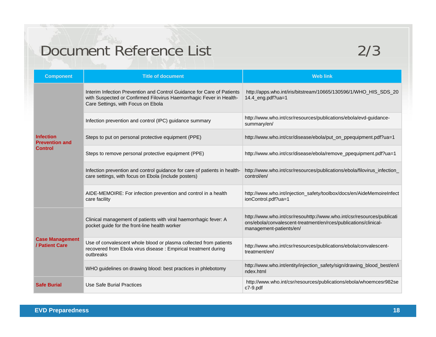# Document Reference List 2/3

| <b>Component</b>                                            | <b>Title of document</b>                                                                                                                                                            | <b>Web link</b>                                                                                                                                                      |
|-------------------------------------------------------------|-------------------------------------------------------------------------------------------------------------------------------------------------------------------------------------|----------------------------------------------------------------------------------------------------------------------------------------------------------------------|
| <b>Infection</b><br><b>Prevention and</b><br><b>Control</b> | Interim Infection Prevention and Control Guidance for Care of Patients<br>with Suspected or Confirmed Filovirus Haemorrhagic Fever in Health-<br>Care Settings, with Focus on Ebola | http://apps.who.int/iris/bitstream/10665/130596/1/WHO_HIS_SDS_20<br>14.4_eng.pdf?ua=1                                                                                |
|                                                             | Infection prevention and control (IPC) guidance summary                                                                                                                             | http://www.who.int/csr/resources/publications/ebola/evd-guidance-<br>summary/en/                                                                                     |
|                                                             | Steps to put on personal protective equipment (PPE)                                                                                                                                 | http://www.who.int/csr/disease/ebola/put_on_ppequipment.pdf?ua=1                                                                                                     |
|                                                             | Steps to remove personal protective equipment (PPE)                                                                                                                                 | http://www.who.int/csr/disease/ebola/remove_ppequipment.pdf?ua=1                                                                                                     |
|                                                             | Infection prevention and control guidance for care of patients in health-<br>care settings, with focus on Ebola (include posters)                                                   | http://www.who.int/csr/resources/publications/ebola/filovirus_infection_<br>control/en/                                                                              |
|                                                             | AIDE-MEMOIRE: For infection prevention and control in a health<br>care facility                                                                                                     | http://www.who.int/injection_safety/toolbox/docs/en/AideMemoireInfect<br>ionControl.pdf?ua=1                                                                         |
| <b>Case Management</b><br>/ Patient Care                    | Clinical management of patients with viral haemorrhagic fever: A<br>pocket guide for the front-line health worker                                                                   | http://www.who.int/csr/resouhttp://www.who.int/csr/resources/publicati<br>ons/ebola/convalescent-treatment/en/rces/publications/clinical-<br>management-patients/en/ |
|                                                             | Use of convalescent whole blood or plasma collected from patients<br>recovered from Ebola virus disease : Empirical treatment during<br>outbreaks                                   | http://www.who.int/csr/resources/publications/ebola/convalescent-<br>treatment/en/                                                                                   |
|                                                             | WHO guidelines on drawing blood: best practices in phlebotomy                                                                                                                       | http://www.who.int/entity/injection_safety/sign/drawing_blood_best/en/i<br>ndex.html                                                                                 |
| <b>Safe Burial</b>                                          | Use Safe Burial Practices                                                                                                                                                           | http://www.who.int/csr/resources/publications/ebola/whoemcesr982se<br>$c7-9$ .pdf                                                                                    |